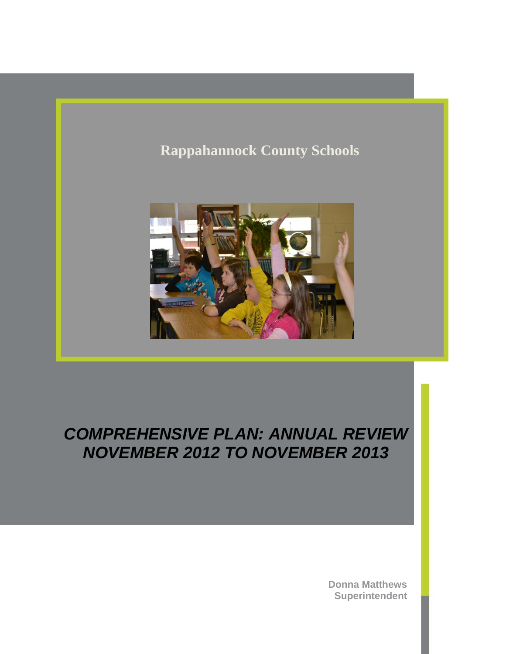# **Rappahannock County Schools**



## *COMPREHENSIVE PLAN: ANNUAL REVIEW NOVEMBER 2012 TO NOVEMBER 2013*

**Donna Matthews Superintendent**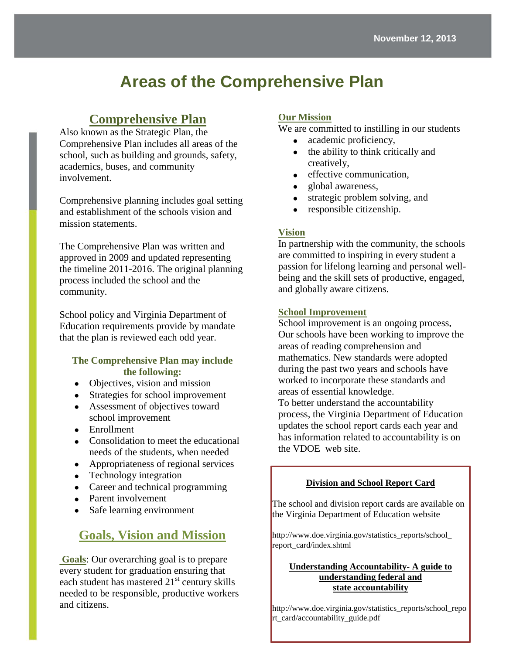# **Areas of the Comprehensive Plan**

## **Comprehensive Plan**

Also known as the Strategic Plan, the Comprehensive Plan includes all areas of the school, such as building and grounds, safety, academics, buses, and community involvement.

Comprehensive planning includes goal setting and establishment of the schools vision and mission statements.

The Comprehensive Plan was written and approved in 2009 and updated representing the timeline 2011-2016. The original planning process included the school and the community.

School policy and Virginia Department of Education requirements provide by mandate that the plan is reviewed each odd year.

#### **The Comprehensive Plan may include the following:**

- Objectives, vision and mission
- Strategies for school improvement
- Assessment of objectives toward school improvement
- Enrollment
- Consolidation to meet the educational needs of the students, when needed
- Appropriateness of regional services
- Technology integration
- Career and technical programming
- Parent involvement
- Safe learning environment

## **Goals, Vision and Mission**

**Goals**: Our overarching goal is to prepare every student for graduation ensuring that each student has mastered  $21<sup>st</sup>$  century skills needed to be responsible, productive workers and citizens.

#### **Our Mission**

We are committed to instilling in our students

- academic proficiency,
- the ability to think critically and creatively,
- effective communication,
- global awareness,
- strategic problem solving, and
- responsible citizenship.

#### **Vision**

In partnership with the community, the schools are committed to inspiring in every student a passion for lifelong learning and personal wellbeing and the skill sets of productive, engaged, and globally aware citizens.

#### **School Improvement**

School improvement is an ongoing process**.**  Our schools have been working to improve the areas of reading comprehension and mathematics. New standards were adopted during the past two years and schools have worked to incorporate these standards and areas of essential knowledge.

To better understand the accountability process, the Virginia Department of Education updates the school report cards each year and has information related to accountability is on the VDOE web site.

#### **Division and School Report Card**

The school and division report cards are available on the Virginia Department of Education website

http://www.doe.virginia.gov/statistics\_reports/school\_ report\_card/index.shtml

#### **Understanding Accountability- A guide to understanding federal and state accountability**

**Subhead. Subhead.** http://www.doe.virginia.gov/statistics\_reports/school\_repo  $\overline{C}$  text here. Continue proposal text here. Continue proposal text here. Continue proposal text here. Continue proposal text here. Continue proposal text here. Continue proposal text here. Continue proposal text here rt\_card/accountability\_guide.pdf

proposal text here. Continue proposal text here.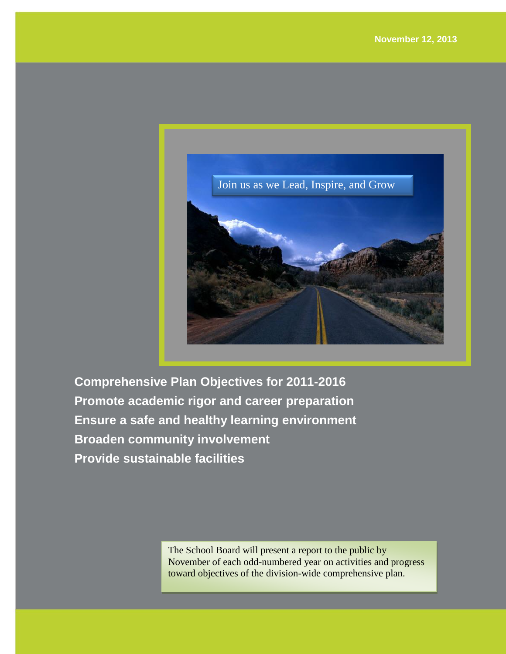

**Comprehensive Plan Objectives for 2011-2016 Promote academic rigor and career preparation Ensure a safe and healthy learning environment Broaden community involvement Provide sustainable facilities** 

> The School Board will present a report to the public by November of each odd-numbered year on activities and progress toward objectives of the division-wide comprehensive plan.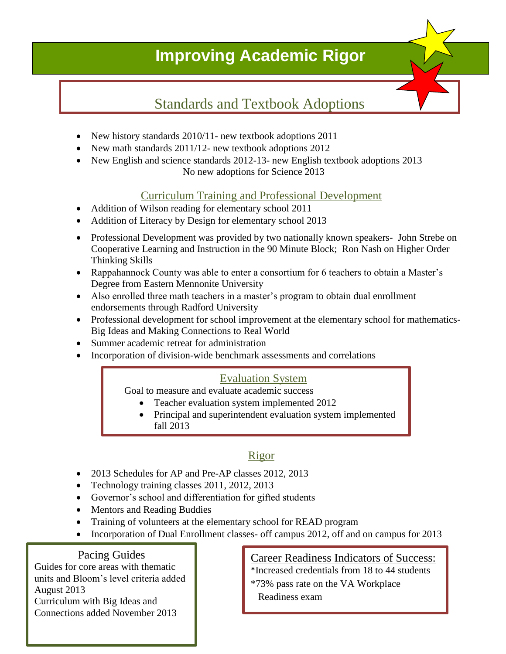# **Improving Academic Rigor**

**Month Day Year**

# Standards and Textbook Adoptions

- New history standards 2010/11- new textbook adoptions 2011
- New math standards 2011/12- new textbook adoptions 2012
- New English and science standards 2012-13- new English textbook adoptions 2013 No new adoptions for Science 2013

## Curriculum Training and Professional Development

- Addition of Wilson reading for elementary school 2011
- Addition of Literacy by Design for elementary school 2013
- Professional Development was provided by two nationally known speakers- John Strebe on Cooperative Learning and Instruction in the 90 Minute Block; Ron Nash on Higher Order Thinking Skills
- Rappahannock County was able to enter a consortium for 6 teachers to obtain a Master's Degree from Eastern Mennonite University
- Also enrolled three math teachers in a master's program to obtain dual enrollment endorsements through Radford University
- Professional development for school improvement at the elementary school for mathematics-Big Ideas and Making Connections to Real World
- Summer academic retreat for administration
- Incorporation of division-wide benchmark assessments and correlations

## Evaluation System

Goal to measure and evaluate academic success

- Teacher evaluation system implemented 2012
- Principal and superintendent evaluation system implemented fall 2013

## Rigor

- 2013 Schedules for AP and Pre-AP classes 2012, 2013
- Technology training classes 2011, 2012, 2013
- Governor's school and differentiation for gifted students
- Mentors and Reading Buddies
- Training of volunteers at the elementary school for READ program
- Incorporation of Dual Enrollment classes- off campus 2012, off and on campus for 2013

### Pacing Guides

Guides for core areas with thematic units and Bloom's level criteria added August 2013 Curriculum with Big Ideas and Connections added November 2013

#### Career Readiness Indicators of Success: \*Increased credentials from 18 to 44 students

\*73% pass rate on the VA Workplace Readiness exam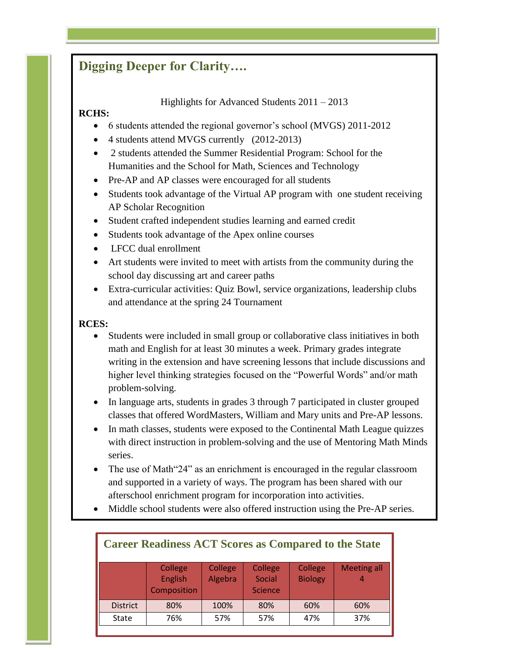## **Digging Deeper for Clarity….**

Highlights for Advanced Students 2011 – 2013

### **RCHS:**

- 6 students attended the regional governor's school (MVGS) 2011-2012
- 4 students attend MVGS currently (2012-2013)
- 2 students attended the Summer Residential Program: School for the Humanities and the School for Math, Sciences and Technology
- Pre-AP and AP classes were encouraged for all students
- Students took advantage of the Virtual AP program with one student receiving AP Scholar Recognition
- Student crafted independent studies learning and earned credit
- Students took advantage of the Apex online courses
- LFCC dual enrollment
- Art students were invited to meet with artists from the community during the school day discussing art and career paths
- Extra-curricular activities: Quiz Bowl, service organizations, leadership clubs and attendance at the spring 24 Tournament

### **RCES:**

- Students were included in small group or collaborative class initiatives in both math and English for at least 30 minutes a week. Primary grades integrate writing in the extension and have screening lessons that include discussions and higher level thinking strategies focused on the "Powerful Words" and/or math problem-solving.
- In language arts, students in grades 3 through 7 participated in cluster grouped classes that offered WordMasters, William and Mary units and Pre-AP lessons.
- In math classes, students were exposed to the Continental Math League quizzes with direct instruction in problem-solving and the use of Mentoring Math Minds series.
- The use of Math"24" as an enrichment is encouraged in the regular classroom and supported in a variety of ways. The program has been shared with our afterschool enrichment program for incorporation into activities.
- Middle school students were also offered instruction using the Pre-AP series.

| <b>Career Readiness ACT Scores as Compared to the State</b> |                                          |                    |                                     |                           |                    |  |  |  |
|-------------------------------------------------------------|------------------------------------------|--------------------|-------------------------------------|---------------------------|--------------------|--|--|--|
|                                                             | College<br><b>English</b><br>Composition | College<br>Algebra | College<br>Social<br><b>Science</b> | College<br><b>Biology</b> | <b>Meeting all</b> |  |  |  |
| <b>District</b>                                             | 80%                                      | 100%               | 80%                                 | 60%                       | 60%                |  |  |  |
| <b>State</b>                                                | 76%                                      | 57%                | 57%                                 | 47%                       | 37%                |  |  |  |
|                                                             |                                          |                    |                                     |                           |                    |  |  |  |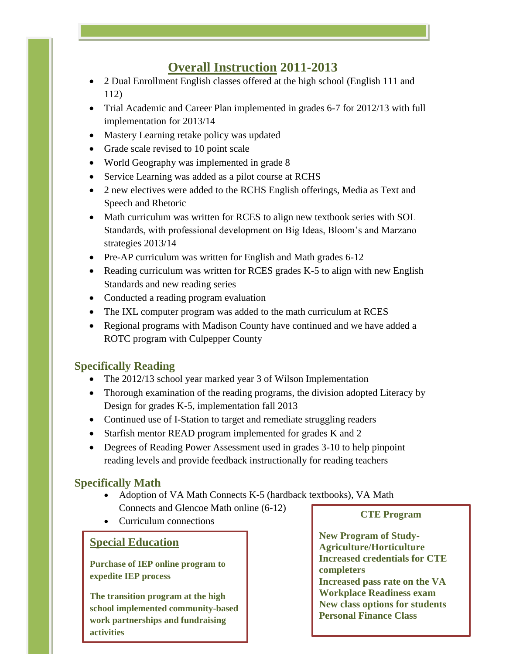## **Overall Instruction 2011-2013**

- 2 Dual Enrollment English classes offered at the high school (English 111 and 112)
- Trial Academic and Career Plan implemented in grades 6-7 for 2012/13 with full implementation for 2013/14
- Mastery Learning retake policy was updated
- Grade scale revised to 10 point scale
- World Geography was implemented in grade 8
- Service Learning was added as a pilot course at RCHS
- 2 new electives were added to the RCHS English offerings, Media as Text and Speech and Rhetoric
- Math curriculum was written for RCES to align new textbook series with SOL Standards, with professional development on Big Ideas, Bloom's and Marzano strategies 2013/14
- Pre-AP curriculum was written for English and Math grades 6-12
- Reading curriculum was written for RCES grades K-5 to align with new English Standards and new reading series
- Conducted a reading program evaluation
- The IXL computer program was added to the math curriculum at RCES
- Regional programs with Madison County have continued and we have added a ROTC program with Culpepper County

#### **Specifically Reading**

- The 2012/13 school year marked year 3 of Wilson Implementation
- Thorough examination of the reading programs, the division adopted Literacy by Design for grades K-5, implementation fall 2013
- Continued use of I-Station to target and remediate struggling readers
- Starfish mentor READ program implemented for grades K and 2
- Degrees of Reading Power Assessment used in grades 3-10 to help pinpoint reading levels and provide feedback instructionally for reading teachers

### **Specifically Math**

- Adoption of VA Math Connects K-5 (hardback textbooks), VA Math Connects and Glencoe Math online (6-12)
- Curriculum connections

### **Special Education**

**Purchase of IEP online program to expedite IEP process**

**The transition program at the high school implemented community-based work partnerships and fundraising activities**

**CTE Program**

**New Program of Study-Agriculture/Horticulture Increased credentials for CTE completers Increased pass rate on the VA Workplace Readiness exam New class options for students Personal Finance Class**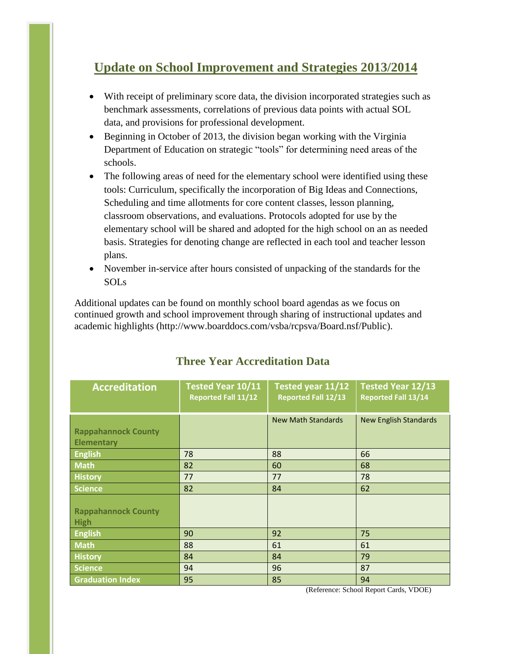## **Update on School Improvement and Strategies 2013/2014**

- With receipt of preliminary score data, the division incorporated strategies such as benchmark assessments, correlations of previous data points with actual SOL data, and provisions for professional development.
- Beginning in October of 2013, the division began working with the Virginia Department of Education on strategic "tools" for determining need areas of the schools.
- The following areas of need for the elementary school were identified using these tools: Curriculum, specifically the incorporation of Big Ideas and Connections, Scheduling and time allotments for core content classes, lesson planning, classroom observations, and evaluations. Protocols adopted for use by the elementary school will be shared and adopted for the high school on an as needed basis. Strategies for denoting change are reflected in each tool and teacher lesson plans.
- November in-service after hours consisted of unpacking of the standards for the SOLs

Additional updates can be found on monthly school board agendas as we focus on continued growth and school improvement through sharing of instructional updates and academic highlights (http://www.boarddocs.com/vsba/rcpsva/Board.nsf/Public).

| <b>Accreditation</b>                            | Tested Year 10/11<br><b>Reported Fall 11/12</b> | Tested year 11/12<br><b>Reported Fall 12/13</b> | Tested Year 12/13<br><b>Reported Fall 13/14</b> |
|-------------------------------------------------|-------------------------------------------------|-------------------------------------------------|-------------------------------------------------|
| <b>Rappahannock County</b><br><b>Elementary</b> |                                                 | <b>New Math Standards</b>                       | <b>New English Standards</b>                    |
| <b>English</b>                                  | 78                                              | 88                                              | 66                                              |
| <b>Math</b>                                     | 82                                              | 60                                              | 68                                              |
| <b>History</b>                                  | 77                                              | 77                                              | 78                                              |
| <b>Science</b>                                  | 82                                              | 84                                              | 62                                              |
| <b>Rappahannock County</b><br><b>High</b>       |                                                 |                                                 |                                                 |
| <b>English</b>                                  | 90                                              | 92                                              | 75                                              |
| <b>Math</b>                                     | 88                                              | 61                                              | 61                                              |
| <b>History</b>                                  | 84                                              | 84                                              | 79                                              |
| <b>Science</b>                                  | 94                                              | 96                                              | 87                                              |
| <b>Graduation Index</b>                         | 95                                              | 85                                              | 94                                              |

## **Three Year Accreditation Data**

(Reference: School Report Cards, VDOE)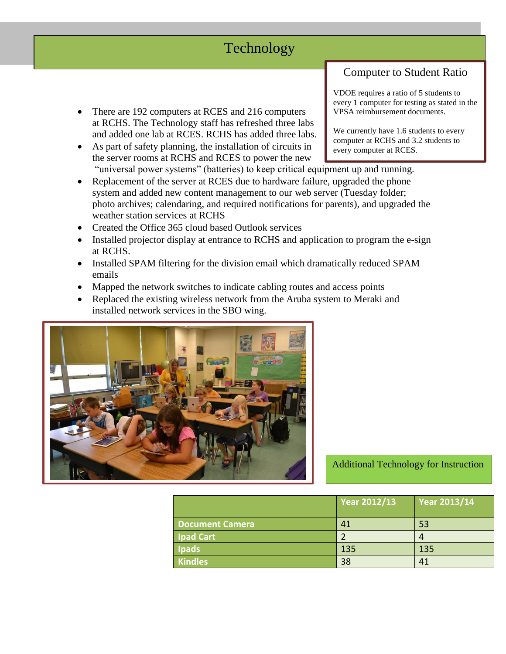## Technology

- There are 192 computers at RCES and 216 computers at RCHS. The Technology staff has refreshed three labs and added one lab at RCES. RCHS has added three labs.
- As part of safety planning, the installation of circuits in the server rooms at RCHS and RCES to power the new "universal power systems" (batteries) to keep critical equipment up and running.
- Replacement of the server at RCES due to hardware failure, upgraded the phone system and added new content management to our web server (Tuesday folder; photo archives; calendaring, and required notifications for parents), and upgraded the weather station services at RCHS
- Created the Office 365 cloud based Outlook services
- Installed projector display at entrance to RCHS and application to program the e-sign at RCHS.
- Installed SPAM filtering for the division email which dramatically reduced SPAM emails
- Mapped the network switches to indicate cabling routes and access points
- Replaced the existing wireless network from the Aruba system to Meraki and installed network services in the SBO wing.



## Additional Technology for Instruction

|                        | <b>Year 2012/13</b> | <b>Year 2013/14</b> |
|------------------------|---------------------|---------------------|
| <b>Document Camera</b> | 41                  | 53                  |
| <b>Ipad Cart</b>       |                     |                     |
| <b>Ipads</b>           | 135                 | 135                 |
| <b>Kindles</b>         | 38                  | 41                  |

VDOE requires a ratio of 5 students to every 1 computer for testing as stated in the VPSA reimbursement documents.

Computer to Student Ratio

We currently have 1.6 students to every computer at RCHS and 3.2 students to every computer at RCES.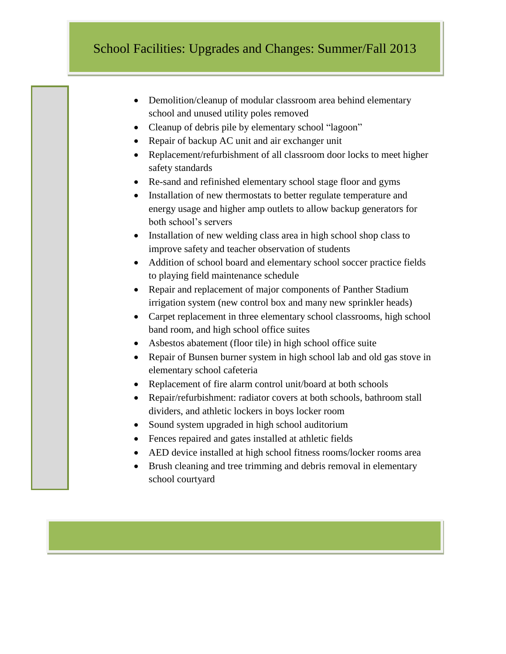## School Facilities: Upgrades and Changes: Summer/Fall 2013

- Demolition/cleanup of modular classroom area behind elementary school and unused utility poles removed
- Cleanup of debris pile by elementary school "lagoon"
- Repair of backup AC unit and air exchanger unit

I

L

I

T

I

E

S

- Replacement/refurbishment of all classroom door locks to meet higher safety standards
- Re-sand and refinished elementary school stage floor and gyms
- Installation of new thermostats to better regulate temperature and energy usage and higher amp outlets to allow backup generators for both school's servers
- Installation of new welding class area in high school shop class to improve safety and teacher observation of students
- Addition of school board and elementary school soccer practice fields to playing field maintenance schedule
- Repair and replacement of major components of Panther Stadium irrigation system (new control box and many new sprinkler heads)
- Carpet replacement in three elementary school classrooms, high school band room, and high school office suites
- Asbestos abatement (floor tile) in high school office suite
- Repair of Bunsen burner system in high school lab and old gas stove in elementary school cafeteria
- Replacement of fire alarm control unit/board at both schools
- Repair/refurbishment: radiator covers at both schools, bathroom stall dividers, and athletic lockers in boys locker room
- Sound system upgraded in high school auditorium
- Fences repaired and gates installed at athletic fields
- AED device installed at high school fitness rooms/locker rooms area
- Brush cleaning and tree trimming and debris removal in elementary school courtyard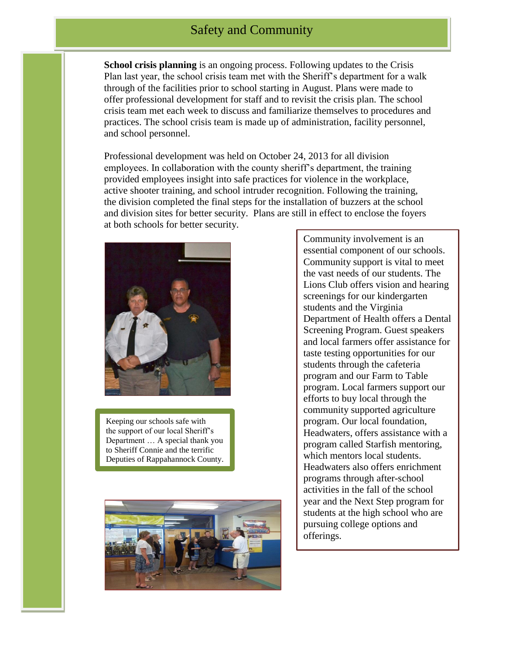**School crisis planning** is an ongoing process. Following updates to the Crisis Plan last year, the school crisis team met with the Sheriff's department for a walk through of the facilities prior to school starting in August. Plans were made to offer professional development for staff and to revisit the crisis plan. The school crisis team met each week to discuss and familiarize themselves to procedures and practices. The school crisis team is made up of administration, facility personnel, and school personnel.

Professional development was held on October 24, 2013 for all division employees. In collaboration with the county sheriff's department, the training provided employees insight into safe practices for violence in the workplace, active shooter training, and school intruder recognition. Following the training, the division completed the final steps for the installation of buzzers at the school and division sites for better security. Plans are still in effect to enclose the foyers at both schools for better security.



Keeping our schools safe with the support of our local Sheriff's Department … A special thank you to Sheriff Connie and the terrific Deputies of Rappahannock County.



Community involvement is an essential component of our schools. Community support is vital to meet the vast needs of our students. The Lions Club offers vision and hearing screenings for our kindergarten students and the Virginia Department of Health offers a Dental Screening Program. Guest speakers and local farmers offer assistance for taste testing opportunities for our students through the cafeteria program and our Farm to Table program. Local farmers support our efforts to buy local through the community supported agriculture program. Our local foundation, Headwaters, offers assistance with a program called Starfish mentoring, which mentors local students. Headwaters also offers enrichment programs through after-school activities in the fall of the school year and the Next Step program for students at the high school who are pursuing college options and offerings.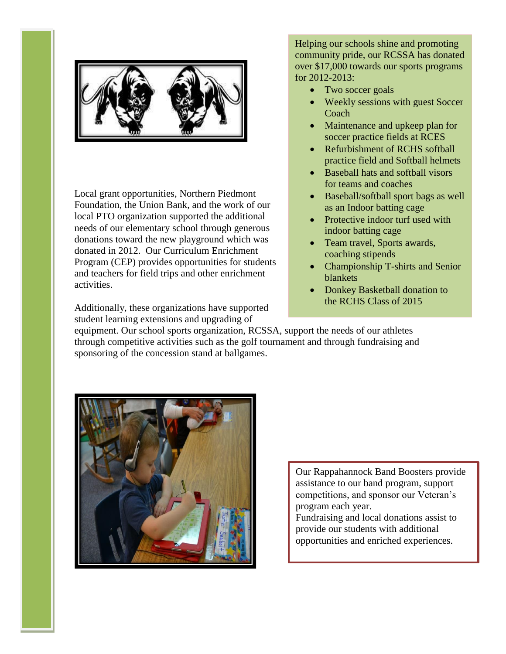

Local grant opportunities, Northern Piedmont Foundation, the Union Bank, and the work of our local PTO organization supported the additional needs of our elementary school through generous donations toward the new playground which was donated in 2012. Our Curriculum Enrichment Program (CEP) provides opportunities for students and teachers for field trips and other enrichment activities.

Additionally, these organizations have supported student learning extensions and upgrading of

Helping our schools shine and promoting community pride, our RCSSA has donated over \$17,000 towards our sports programs for 2012-2013:

- Two soccer goals
- Weekly sessions with guest Soccer Coach
- Maintenance and upkeep plan for soccer practice fields at RCES
- Refurbishment of RCHS softball practice field and Softball helmets
- Baseball hats and softball visors for teams and coaches
- Baseball/softball sport bags as well as an Indoor batting cage
- Protective indoor turf used with indoor batting cage
- Team travel, Sports awards, coaching stipends
- Championship T-shirts and Senior blankets
- Donkey Basketball donation to the RCHS Class of 2015

equipment. Our school sports organization, RCSSA, support the needs of our athletes through competitive activities such as the golf tournament and through fundraising and sponsoring of the concession stand at ballgames.



Our Rappahannock Band Boosters provide assistance to our band program, support competitions, and sponsor our Veteran's program each year. Fundraising and local donations assist to provide our students with additional opportunities and enriched experiences.